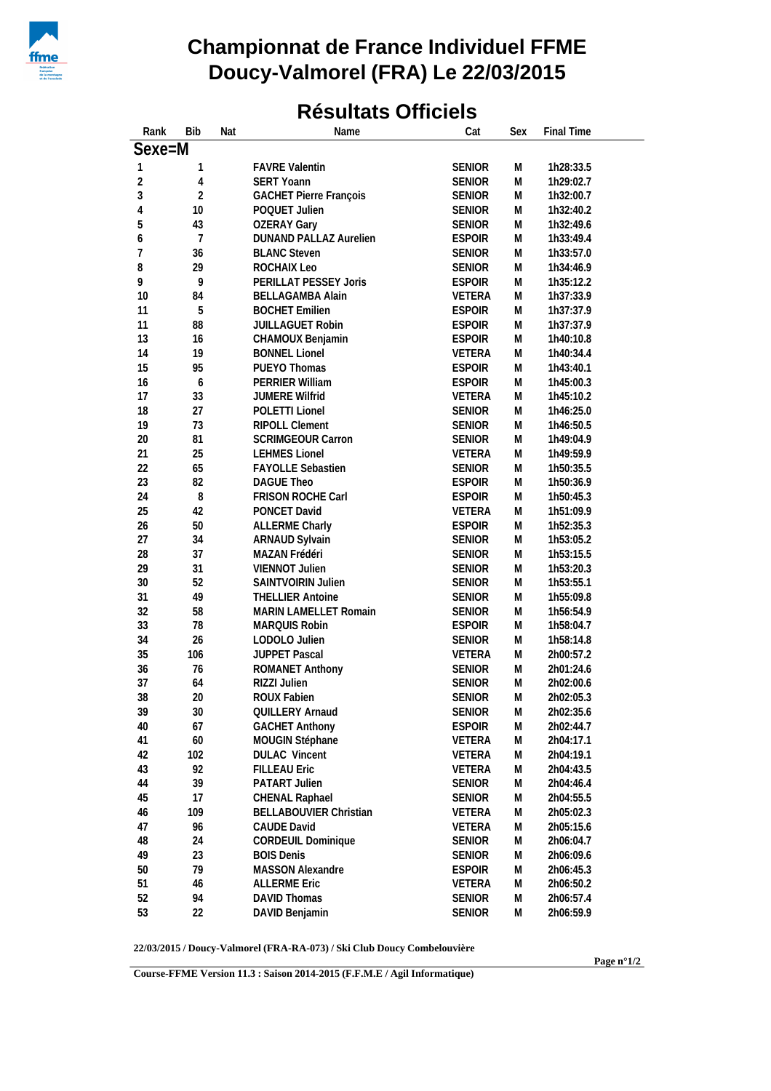

## **Championnat de France Individuel FFME Doucy-Valmorel (FRA) Le 22/03/2015**

## **Résultats Officiels**

| Rank       | <b>Bib</b>     | Nat | Name                                             | Cat           | Sex       | Final Time |
|------------|----------------|-----|--------------------------------------------------|---------------|-----------|------------|
| Sexe=M     |                |     |                                                  |               |           |            |
| 1          | 1              |     | <b>FAVRE Valentin</b>                            | <b>SENIOR</b> | М         | 1h28:33.5  |
| $\sqrt{2}$ | 4              |     | <b>SERT Yoann</b>                                | <b>SENIOR</b> | M         | 1h29:02.7  |
| 3          | $\overline{2}$ |     | <b>GACHET Pierre François</b>                    | <b>SENIOR</b> | M         | 1h32:00.7  |
| 4          | 10             |     | POQUET Julien                                    | <b>SENIOR</b> | M         | 1h32:40.2  |
| 5          | 43             |     | <b>OZERAY Gary</b>                               | <b>SENIOR</b> | ${\sf M}$ | 1h32:49.6  |
| 6          | $\overline{7}$ |     | <b>DUNAND PALLAZ Aurelien</b>                    | <b>ESPOIR</b> | M         | 1h33:49.4  |
| 7          | 36             |     | <b>BLANC Steven</b>                              | <b>SENIOR</b> | M         | 1h33:57.0  |
| 8          | 29             |     | ROCHAIX Leo                                      | <b>SENIOR</b> | M         | 1h34:46.9  |
| 9          | 9              |     | PERILLAT PESSEY Joris                            | <b>ESPOIR</b> | M         | 1h35:12.2  |
| 10         | 84             |     |                                                  | <b>VETERA</b> | M         | 1h37:33.9  |
| 11         | 5              |     | <b>BELLAGAMBA Alain</b><br><b>BOCHET Emilien</b> | <b>ESPOIR</b> | ${\sf M}$ | 1h37:37.9  |
| 11         | 88             |     | JUILLAGUET Robin                                 | <b>ESPOIR</b> | ${\sf M}$ | 1h37:37.9  |
| 13         | 16             |     |                                                  | <b>ESPOIR</b> | M         |            |
|            | 19             |     | CHAMOUX Benjamin                                 |               |           | 1h40:10.8  |
| 14         |                |     | <b>BONNEL Lionel</b>                             | <b>VETERA</b> | M         | 1h40:34.4  |
| 15         | 95             |     | PUEYO Thomas                                     | <b>ESPOIR</b> | M         | 1h43:40.1  |
| 16         | 6              |     | PERRIER William                                  | <b>ESPOIR</b> | M         | 1h45:00.3  |
| 17         | 33             |     | JUMERE Wilfrid                                   | <b>VETERA</b> | M         | 1h45:10.2  |
| 18         | 27             |     | POLETTI Lionel                                   | <b>SENIOR</b> | ${\sf M}$ | 1h46:25.0  |
| 19         | 73             |     | <b>RIPOLL Clement</b>                            | <b>SENIOR</b> | M         | 1h46:50.5  |
| 20         | 81             |     | SCRIMGEOUR Carron                                | <b>SENIOR</b> | M         | 1h49:04.9  |
| 21         | 25             |     | <b>LEHMES Lionel</b>                             | <b>VETERA</b> | M         | 1h49:59.9  |
| 22         | 65             |     | FAYOLLE Sebastien                                | <b>SENIOR</b> | M         | 1h50:35.5  |
| 23         | 82             |     | <b>DAGUE Theo</b>                                | <b>ESPOIR</b> | ${\sf M}$ | 1h50:36.9  |
| 24         | $\, 8$         |     | FRISON ROCHE Carl                                | <b>ESPOIR</b> | ${\sf M}$ | 1h50:45.3  |
| 25         | 42             |     | PONCET David                                     | <b>VETERA</b> | M         | 1h51:09.9  |
| 26         | $50\,$         |     | <b>ALLERME Charly</b>                            | <b>ESPOIR</b> | M         | 1h52:35.3  |
| 27         | 34             |     | ARNAUD Sylvain                                   | <b>SENIOR</b> | M         | 1h53:05.2  |
| 28         | 37             |     | MAZAN Frédéri                                    | <b>SENIOR</b> | M         | 1h53:15.5  |
| 29         | 31             |     | VIENNOT Julien                                   | <b>SENIOR</b> | M         | 1h53:20.3  |
| 30         | 52             |     | SAINTVOIRIN Julien                               | <b>SENIOR</b> | M         | 1h53:55.1  |
| 31         | 49             |     | <b>THELLIER Antoine</b>                          | <b>SENIOR</b> | ${\sf M}$ | 1h55:09.8  |
| 32         | 58             |     | MARIN LAMELLET Romain                            | <b>SENIOR</b> | M         | 1h56:54.9  |
| 33         | 78             |     | MARQUIS Robin                                    | <b>ESPOIR</b> | M         | 1h58:04.7  |
| 34         | 26             |     | LODOLO Julien                                    | <b>SENIOR</b> | M         | 1h58:14.8  |
| 35         | 106            |     | JUPPET Pascal                                    | VETERA        | M         | 2h00:57.2  |
| 36         | 76             |     | ROMANET Anthony                                  | <b>SENIOR</b> | M         | 2h01:24.6  |
| 37         | 64             |     | RIZZI Julien                                     | <b>SENIOR</b> | ${\sf M}$ | 2h02:00.6  |
| 38         | 20             |     | ROUX Fabien                                      | <b>SENIOR</b> | M         | 2h02:05.3  |
| 39         | $30\,$         |     | QUILLERY Arnaud                                  | <b>SENIOR</b> | M         | 2h02:35.6  |
| 40         | 67             |     | <b>GACHET Anthony</b>                            | <b>ESPOIR</b> | ${\sf M}$ | 2h02:44.7  |
| 41         | 60             |     | MOUGIN Stéphane                                  | VETERA        | M         | 2h04:17.1  |
| 42         | 102            |     | <b>DULAC Vincent</b>                             | VETERA        | M         | 2h04:19.1  |
| 43         | 92             |     | <b>FILLEAU Eric</b>                              | VETERA        | ${\sf M}$ | 2h04:43.5  |
| 44         | 39             |     | PATART Julien                                    | <b>SENIOR</b> | M         | 2h04:46.4  |
| 45         | 17             |     | CHENAL Raphael                                   | <b>SENIOR</b> | M         | 2h04:55.5  |
| 46         | 109            |     | <b>BELLABOUVIER Christian</b>                    | VETERA        | M         | 2h05:02.3  |
| 47         | 96             |     | <b>CAUDE David</b>                               | <b>VETERA</b> | M         | 2h05:15.6  |
| 48         | 24             |     | CORDEUIL Dominique                               | <b>SENIOR</b> | M         | 2h06:04.7  |
| 49         | 23             |     | <b>BOIS Denis</b>                                | <b>SENIOR</b> | M         | 2h06:09.6  |
| 50         | 79             |     | <b>MASSON Alexandre</b>                          | <b>ESPOIR</b> | M         | 2h06:45.3  |
| 51         | 46             |     | <b>ALLERME Eric</b>                              | VETERA        | ${\sf M}$ | 2h06:50.2  |
| 52         | 94             |     | DAVID Thomas                                     | <b>SENIOR</b> | M         | 2h06:57.4  |
| 53         | 22             |     | DAVID Benjamin                                   | <b>SENIOR</b> | M         | 2h06:59.9  |
|            |                |     |                                                  |               |           |            |

**22/03/2015 / Doucy-Valmorel (FRA-RA-073) / Ski Club Doucy Combelouvière**

**Course-FFME Version 11.3 : Saison 2014-2015 (F.F.M.E / Agil Informatique)**

**Page n°1/2**